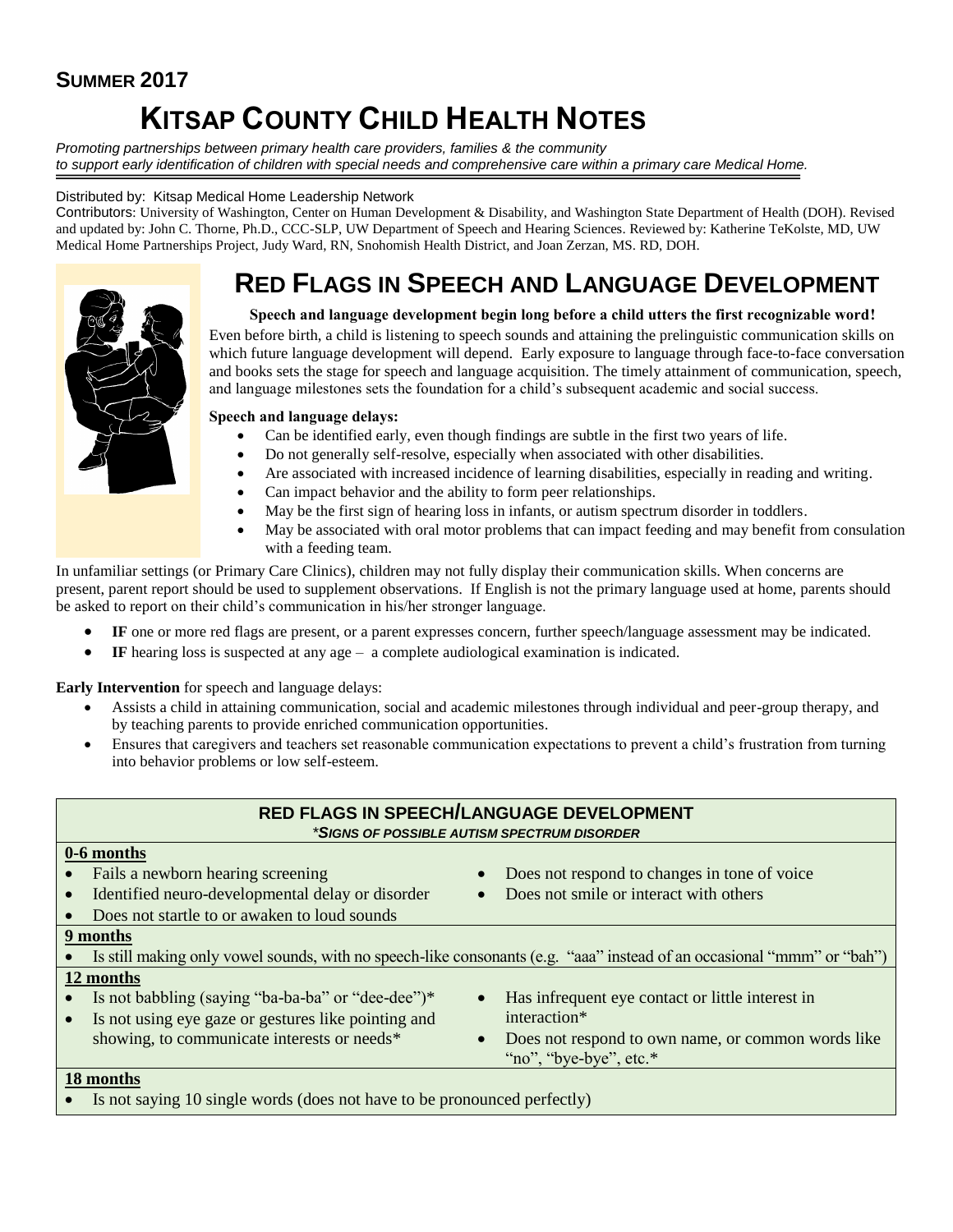## **SUMMER 2017**

# **KITSAP COUNTY CHILD HEALTH NOTES**

*Promoting partnerships between primary health care providers, families & the community to support early identification of children with special needs and comprehensive care within a primary care Medical Home.*

#### Distributed by: Kitsap Medical Home Leadership Network

Contributors: University of Washington, Center on Human Development & Disability, and Washington State Department of Health (DOH). Revised and updated by: John C. Thorne, Ph.D., CCC-SLP, UW Department of Speech and Hearing Sciences. Reviewed by: Katherine TeKolste, MD, UW Medical Home Partnerships Project, Judy Ward, RN, Snohomish Health District, and Joan Zerzan, MS. RD, DOH.

## **RED FLAGS IN SPEECH AND LANGUAGE DEVELOPMENT**



#### **Speech and language development begin long before a child utters the first recognizable word!**

Even before birth, a child is listening to speech sounds and attaining the prelinguistic communication skills on which future language development will depend. Early exposure to language through face-to-face conversation and books sets the stage for speech and language acquisition. The timely attainment of communication, speech, and language milestones sets the foundation for a child's subsequent academic and social success.

#### **Speech and language delays:**

- Can be identified early, even though findings are subtle in the first two years of life.
- Do not generally self-resolve, especially when associated with other disabilities.
- Are associated with increased incidence of learning disabilities, especially in reading and writing.
- Can impact behavior and the ability to form peer relationships.
- May be the first sign of hearing loss in infants, or autism spectrum disorder in toddlers.
- May be associated with oral motor problems that can impact feeding and may benefit from consulation with a feeding team.

In unfamiliar settings (or Primary Care Clinics), children may not fully display their communication skills. When concerns are present, parent report should be used to supplement observations. If English is not the primary language used at home, parents should be asked to report on their child's communication in his/her stronger language.

- **IF** one or more red flags are present, or a parent expresses concern, further speech/language assessment may be indicated.
- **IF** hearing loss is suspected at any age a complete audiological examination is indicated.

**Early Intervention** for speech and language delays:

- Assists a child in attaining communication, social and academic milestones through individual and peer-group therapy, and by teaching parents to provide enriched communication opportunities.
- Ensures that caregivers and teachers set reasonable communication expectations to prevent a child's frustration from turning into behavior problems or low self-esteem.

| RED FLAGS IN SPEECH/LANGUAGE DEVELOPMENT            |                                                                                                                          |  |  |  |  |
|-----------------------------------------------------|--------------------------------------------------------------------------------------------------------------------------|--|--|--|--|
| *SIGNS OF POSSIBLE AUTISM SPECTRUM DISORDER         |                                                                                                                          |  |  |  |  |
| 0-6 months                                          |                                                                                                                          |  |  |  |  |
| Fails a newborn hearing screening                   | Does not respond to changes in tone of voice                                                                             |  |  |  |  |
| Identified neuro-developmental delay or disorder    | Does not smile or interact with others                                                                                   |  |  |  |  |
| Does not startle to or awaken to loud sounds        |                                                                                                                          |  |  |  |  |
| 9 months                                            |                                                                                                                          |  |  |  |  |
|                                                     | • Is still making only vowel sounds, with no speech-like consonants (e.g. "aaa" instead of an occasional "mmm" or "bah") |  |  |  |  |
| 12 months                                           |                                                                                                                          |  |  |  |  |
| Is not babbling (saying "ba-ba-ba" or "dee-dee")*   | Has infrequent eye contact or little interest in                                                                         |  |  |  |  |
| Is not using eye gaze or gestures like pointing and | interaction*                                                                                                             |  |  |  |  |
| showing, to communicate interests or needs*         | Does not respond to own name, or common words like                                                                       |  |  |  |  |
|                                                     | "no", "bye-bye", etc.*                                                                                                   |  |  |  |  |
| 18 months                                           |                                                                                                                          |  |  |  |  |

#### Is not saying 10 single words (does not have to be pronounced perfectly)